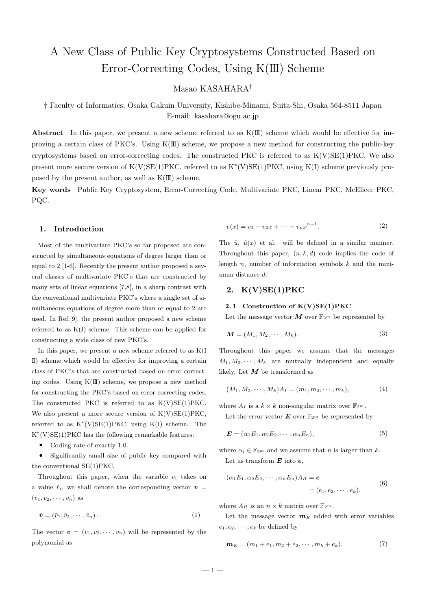# A New Class of Public Key Cryptosystems Constructed Based on Error-Correcting Codes, Using K(III) Scheme

Masao KASAHARA†

† Faculty of Informatics, Osaka Gakuin University, Kishibe-Minami, Suita-Shi, Osaka 564-8511 Japan E-mail: kasahara@ogu.ac.jp

Abstract In this paper, we present a new scheme referred to as  $K(\mathbb{I})$  scheme which would be effective for improving a certain class of PKC's. Using  $K(\mathbb{II})$  scheme, we propose a new method for constructing the public-key cryptosystems based on error-correcting codes. The constructed PKC is referred to as  $K(V)SE(1)PKC$ . We also present more secure version of K(V)SE(1)PKC, referred to as K<sup>\*</sup>(V)SE(1)PKC, using K(I) scheme previously proposed by the present author, as well as  $K(\mathbb{I})$  scheme.

Key words Public Key Cryptosystem, Error-Correcting Code, Multivariate PKC, Linear PKC, McEliece PKC, PQC.

# 1. Introduction

Most of the multivariate PKC's so far proposed are constructed by simultaneous equations of degree larger than or equal to 2 [1-6]. Recently the present author proposed a several classes of multivariate PKC's that are constructed by many sets of linear equations [7,8], in a sharp contrast with the conventional multivariate PKC's where a single set of simultaneous equations of degree more than or equal to 2 are used. In Ref.[9], the present author proposed a new scheme referred to as K(I) scheme. This scheme can be applied for constructing a wide class of new PKC's.

In this paper, we present a new scheme referred to as K(I II) scheme which would be effective for improving a certain class of PKC's that are constructed based on error correcting codes. Using  $K(\mathbb{I})$  scheme, we propose a new method for constructing the PKC's based on error-correcting codes. The constructed PKC is referred to as  $K(V)SE(1)PKC$ . We also present a more secure version of  $K(V)SE(1)PKC$ , referred to as  $K^*(V)SE(1)PKC$ , using  $K(I)$  scheme. The K ∗ (V)SE(1)PKC has the following remarkable features:

• Coding rate of exactly 1.0.

• Significantly small size of public key compared with the conventional SE(1)PKC.

Throughout this paper, when the variable  $v_i$  takes on a value  $\tilde{v}_i$ , we shall denote the corresponding vector  $v =$  $(v_1, v_2, \cdots, v_n)$  as

$$
\tilde{\boldsymbol{v}} = (\tilde{v}_1, \tilde{v}_2, \cdots, \tilde{v}_n). \tag{1}
$$

The vector  $\mathbf{v} = (v_1, v_2, \cdots, v_n)$  will be represented by the polynomial as

$$
v(x) = v_1 + v_2 x + \dots + v_n x^{n-1}.
$$
 (2)

The  $\tilde{u}$ ,  $\tilde{u}(x)$  et al. will be defined in a similar manner. Throughout this paper,  $(n, k, d)$  code implies the code of length  $n$ , number of information symbols  $k$  and the minimum distance d.

# 2. K(V)SE(1)PKC

### 2.1 Construction of  $K(V)SE(1)PKC$

Let the message vector M over  $\mathbb{F}_{2^m}$  be represented by

$$
\mathbf{M} = (M_1, M_2, \cdots, M_k). \tag{3}
$$

Throughout this paper we assume that the messages  $M_1, M_2, \cdots, M_k$  are mutually independent and equally likely. Let  $M$  be transformed as

$$
(M_1, M_2, \cdots, M_k)A_I = (m_1, m_2, \cdots, m_k), \tag{4}
$$

where  $A_I$  is a  $k \times k$  non-singular matrix over  $\mathbb{F}_{2^m}$ .

Let the error vector  $\mathbf{E}$  over  $\mathbb{F}_{2^m}$  be represented by

$$
\boldsymbol{E} = (\alpha_1 E_1, \alpha_2 E_2, \cdots, \alpha_n E_n), \tag{5}
$$

where  $\alpha_i \in \mathbb{F}_{2^m}$  and we assume that n is larger than k. Let us transform  $E$  into  $e$ ,

$$
(\alpha_1 E_1, \alpha_2 E_2, \cdots, \alpha_n E_n) A_H = \mathbf{e}
$$
  
=  $(e_1, e_2, \cdots, e_k),$  (6)

where  $A_{II}$  is an  $n \times k$  matrix over  $\mathbb{F}_{2^m}$ .

Let the message vector  $m_E$  added with error variables  $e_1, e_2, \cdots, e_k$  be defined by

$$
\mathbf{m}_E = (m_1 + e_1, m_2 + e_2, \cdots, m_k + e_k). \tag{7}
$$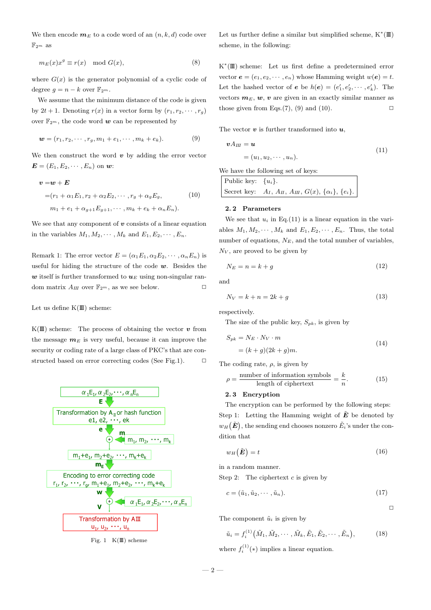We then encode  $m_E$  to a code word of an  $(n, k, d)$  code over  $\mathbb{F}_{2^m}$  as

$$
m_E(x)x^g \equiv r(x) \mod G(x),\tag{8}
$$

where  $G(x)$  is the generator polynomial of a cyclic code of degree  $g = n - k$  over  $\mathbb{F}_{2^m}$ .

We assume that the minimum distance of the code is given by  $2t + 1$ . Denoting  $r(x)$  in a vector form by  $(r_1, r_2, \dots, r_q)$ over  $\mathbb{F}_{2^m}$ , the code word  $w$  can be represented by

$$
\mathbf{w} = (r_1, r_2, \cdots, r_g, m_1 + e_1, \cdots, m_k + e_k). \tag{9}
$$

We then construct the word  $\boldsymbol{v}$  by adding the error vector  $\mathbf{E} = (E_1, E_2, \cdots, E_n)$  on  $\mathbf{w}$ :

$$
\mathbf{v} = \mathbf{w} + \mathbf{E}
$$
  
=  $(r_1 + \alpha_1 E_1, r_2 + \alpha_2 E_2, \cdots, r_g + \alpha_g E_g,$  (10)  
 $m_1 + e_1 + \alpha_{g+1} E_{g+1}, \cdots, m_k + e_k + \alpha_n E_n).$ 

We see that any component of  $\boldsymbol{v}$  consists of a linear equation in the variables  $M_1, M_2, \cdots, M_k$  and  $E_1, E_2, \cdots, E_n$ .

Remark 1: The error vector  $E = (\alpha_1 E_1, \alpha_2 E_2, \cdots, \alpha_n E_n)$  is useful for hiding the structure of the code  $w$ . Besides the w itself is further transformed to  $u_E$  using non-singular random matrix  $A_{III}$  over  $\mathbb{F}_{2^m}$ , as we see below.

Let us define  $K(\mathbb{I})$  scheme:

 $K(\mathbb{I})$  scheme: The process of obtaining the vector  $v$  from the message  $m_E$  is very useful, because it can improve the security or coding rate of a large class of PKC's that are constructed based on error correcting codes (See Fig.1).  $\Box$ 



Fig. 1  $K(\mathbb{I})$  scheme

Let us further define a similar but simplified scheme,  $K^*(I\!I\!I)$ scheme, in the following:

K ∗ (III) scheme: Let us first define a predetermined error vector  $e = (e_1, e_2, \dots, e_n)$  whose Hamming weight  $w(e) = t$ . Let the hashed vector of  $e$  be  $h(e) = (e'_1, e'_2, \dots, e'_k)$ . The vectors  $m_E, w, v$  are given in an exactly similar manner as those given from Eqs.(7), (9) and (10).  $\square$ 

The vector  $v$  is further transformed into  $u$ ,

$$
\mathbf{v}A_{III} = \mathbf{u}
$$
  
=  $(u_1, u_2, \cdots, u_n).$  (11)

We have the following set of keys:

| Public key: $\{u_i\}$ . |                                                                  |
|-------------------------|------------------------------------------------------------------|
|                         | Secret key: $A_I, A_{II}, A_{III}, G(x), \{\alpha_i\}, \{e_i\}.$ |

### 2. 2 Parameters

We see that  $u_i$  in Eq.(11) is a linear equation in the variables  $M_1, M_2, \cdots, M_k$  and  $E_1, E_2, \cdots, E_n$ . Thus, the total number of equations,  $N_E$ , and the total number of variables,  $N_V$ , are proved to be given by

$$
N_E = n = k + g \tag{12}
$$

and

$$
N_V = k + n = 2k + g \tag{13}
$$

respectively.

The size of the public key,  $S_{pk}$ , is given by

$$
S_{pk} = N_E \cdot N_V \cdot m
$$
  
=  $(k+g)(2k+g)m$ . (14)

The coding rate,  $\rho$ , is given by

$$
\rho = \frac{\text{number of information symbols}}{\text{length of ciphertext}} = \frac{k}{n}.\tag{15}
$$

### 2. 3 Encryption

The encryption can be performed by the following steps: Step 1: Letting the Hamming weight of  $\tilde{E}$  be denoted by  $w_H$  $(\tilde{E})$ , the sending end chooses nonzero  $\tilde{E}_i$ 's under the condition that

$$
w_H(\tilde{E}) = t \tag{16}
$$

in a random manner.

Step 2: The ciphertext  $c$  is given by

$$
c = (\tilde{u}_1, \tilde{u}_2, \cdots, \tilde{u}_n). \tag{17}
$$

 $\Box$ 

The component  $\tilde{u}_i$  is given by

$$
\tilde{u}_i = f_i^{(1)}(\tilde{M}_1, \tilde{M}_2, \cdots, \tilde{M}_k, \tilde{E}_1, \tilde{E}_2, \cdots, \tilde{E}_n),
$$
\n(18)

where  $f_i^{(1)}(*)$  implies a linear equation.

 $-2-$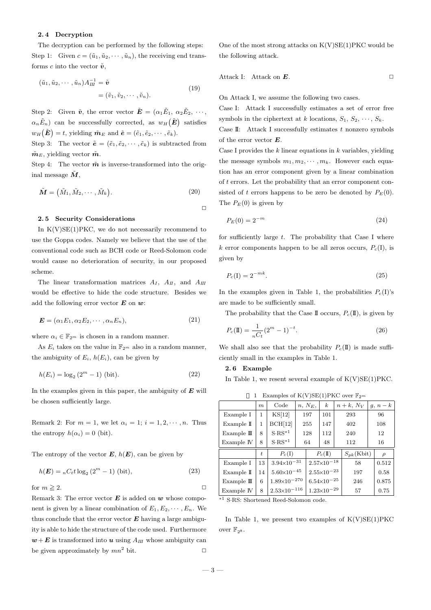### 2. 4 Decryption

The decryption can be performed by the following steps: Step 1: Given  $c = (\tilde{u}_1, \tilde{u}_2, \cdots, \tilde{u}_n)$ , the receiving end transforms c into the vector  $\tilde{\boldsymbol{v}}$ ,

$$
(\tilde{u}_1, \tilde{u}_2, \cdots, \tilde{u}_n) A_{III}^{-1} = \tilde{\boldsymbol{v}}
$$
  
=  $(\tilde{v}_1, \tilde{v}_2, \cdots, \tilde{v}_n).$  (19)

Step 2: Given  $\tilde{\boldsymbol{v}}$ , the error vector  $\tilde{\boldsymbol{E}} = (\alpha_1 \tilde{E}_1, \alpha_2 \tilde{E}_2, \cdots, \alpha_n \tilde{E}_n)$  $\alpha_n \tilde{E}_n$  can be successfully corrected, as  $w_H(\tilde{E})$  satisfies  $w_H(\tilde{\bm{E}}) = t$ , yielding  $\tilde{\bm{m}}_E$  and  $\tilde{\bm{e}} = (\tilde{e}_1, \tilde{e}_2, \cdots, \tilde{e}_k)$ .

Step 3: The vector  $\tilde{\mathbf{e}} = (\tilde{e}_1, \tilde{e}_2, \cdots, \tilde{e}_k)$  is subtracted from  $\tilde{\boldsymbol{m}}_E$ , yielding vector  $\tilde{\boldsymbol{m}}$ .

Step 4: The vector  $\tilde{\boldsymbol{m}}$  is inverse-transformed into the original message  $\tilde{M}$ .

$$
\tilde{\boldsymbol{M}} = (\tilde{M}_1, \tilde{M}_2, \cdots, \tilde{M}_k). \tag{20}
$$

 $\Box$ 

#### 2. 5 Security Considerations

In  $K(V)SE(1)PKC$ , we do not necessarily recommend to use the Goppa codes. Namely we believe that the use of the conventional code such as BCH code or Reed-Solomon code would cause no deterioration of security, in our proposed scheme.

The linear transformation matrices  $A_I$ ,  $A_{II}$ , and  $A_{III}$ would be effective to hide the code structure. Besides we add the following error vector  $\boldsymbol{E}$  on  $\boldsymbol{w}$ :

$$
\mathbf{E} = (\alpha_1 E_1, \alpha_2 E_2, \cdots, \alpha_n E_n), \tag{21}
$$

where  $\alpha_i \in \mathbb{F}_{2^m}$  is chosen in a random manner.

As  $E_i$  takes on the value in  $\mathbb{F}_{2^m}$  also in a random manner, the ambiguity of  $E_i$ ,  $h(E_i)$ , can be given by

$$
h(E_i) = \log_2 (2^m - 1) \text{ (bit)}.
$$
 (22)

In the examples given in this paper, the ambiguity of  $E$  will be chosen sufficiently large.

Remark 2: For  $m = 1$ , we let  $\alpha_i = 1$ ;  $i = 1, 2, \dots, n$ . Thus the entropy  $h(\alpha_i) = 0$  (bit).

The entropy of the vector  $E, h(E)$ , can be given by

$$
h(E) = {}_{n}C_{t}t \log_{2} (2^{m} - 1) \text{ (bit)},
$$
\n(23)

for  $m \geq 2$ .

Remark 3: The error vector  $E$  is added on  $w$  whose component is given by a linear combination of  $E_1, E_2, \cdots, E_n$ . We thus conclude that the error vector  $E$  having a large ambiguity is able to hide the structure of the code used. Furthermore  $w + E$  is transformed into u using  $A_{III}$  whose ambiguity can be given approximately by  $mn^2$  bit.  $\square$  One of the most strong attacks on  $K(V)SE(1)PKC$  would be the following attack.

$$
Attack I: Attack on E.
$$

On Attack I, we assume the following two cases.

Case I: Attack I successfully estimates a set of error free symbols in the ciphertext at k locations,  $S_1, S_2, \cdots, S_k$ .

Case II: Attack I successfully estimates  $t$  nonzero symbols of the error vector E.

Case I provides the  $k$  linear equations in  $k$  variables, yielding the message symbols  $m_1, m_2, \cdots, m_k$ . However each equation has an error component given by a linear combination of t errors. Let the probability that an error component consisted of t errors happens to be zero be denoted by  $P_E(0)$ . The  $P_E(0)$  is given by

$$
P_E(0) = 2^{-m} \tag{24}
$$

for sufficiently large  $t$ . The probability that Case I where k error components happen to be all zeros occurs,  $P_c(I)$ , is given by

$$
P_c(\mathbf{I}) = 2^{-mk}.\tag{25}
$$

In the examples given in Table 1, the probabilities  $P_c(I)$ 's are made to be sufficiently small.

The probability that the Case II occurs,  $P_c(\mathbb{I})$ , is given by

$$
P_c(\mathbf{I}) = \frac{1}{nC_t} (2^m - 1)^{-t}.
$$
 (26)

We shall also see that the probability  $P_c(\mathbb{I})$  is made sufficiently small in the examples in Table 1.

## 2. 6 Example

In Table 1, we resent several example of  $K(V)SE(1)PKC$ .

| Examples of $K(V)SE(1)PKC$ over $\mathbb{F}_{2^m}$ |                  |                                |           |                        |                  |               |                 |          |        |  |  |
|----------------------------------------------------|------------------|--------------------------------|-----------|------------------------|------------------|---------------|-----------------|----------|--------|--|--|
|                                                    | $\boldsymbol{m}$ | Code                           | $n, N_E,$ |                        | $\boldsymbol{k}$ | $n+k$ , $N_V$ |                 | $g, n-k$ |        |  |  |
| Example I                                          | 1                | KS[12]                         | 197       |                        | 101<br>293       |               |                 |          | 96     |  |  |
| Example $\mathbb I$                                | 1                | BCH[12]                        | 255       |                        | 147              | 402           |                 | 108      |        |  |  |
| Example $\mathbb{I}$                               | 8                | $S-RS^{*1}$                    | 128       |                        | 112              | 240           |                 | 12       |        |  |  |
| Example IV                                         | 8                | $S\cdot RS^{*1}$               | 64        |                        | 48               | 112           |                 | 16       |        |  |  |
|                                                    | $t_{i}$          | $P_c(I)$                       |           | $P_c(II)$              |                  |               | $S_{pk}$ (Kbit) |          | $\rho$ |  |  |
| Example I                                          | 13               | $3.94 \times 10^{-31}$         |           | $2.57\times10^{-18}$   |                  | 58            |                 | 0.512    |        |  |  |
| Example $\mathbb I$                                | 14               | $5.60 \!\!\times\!\! 10^{-45}$ |           | $2.55 \times 10^{-23}$ |                  | 197           |                 | 0.58     |        |  |  |
| Example $\rm I\!I\!I$                              | 6                | $1.89 \times 10^{-270}$        |           | $6.54 \times 10^{-25}$ |                  | 246           |                 | 0.875    |        |  |  |
| Example IV                                         | 8                | $2.53\times10^{-116}$          |           | $1.23\times10^{-29}$   |                  | 57            |                 | 0.75     |        |  |  |
| * <sup>1</sup> S.RS: Shortened Reed-Solomon code.  |                  |                                |           |                        |                  |               |                 |          |        |  |  |

In Table 1, we present two examples of  $K(V)SE(1)PKC$ over  $\mathbb{F}_{28}$ .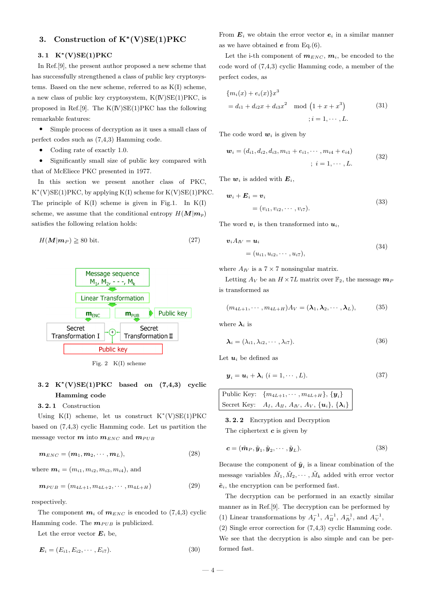# 3. Construction of  $K^*(V)SE(1)PKC$

# 3.1  $K^*(V)SE(1)PKC$

In Ref.[9], the present author proposed a new scheme that has successfully strengthened a class of public key cryptosystems. Based on the new scheme, referred to as K(I) scheme, a new class of public key cryptosystem,  $K(W)SE(1)PKC$ , is proposed in Ref.[9]. The  $K(W)SE(1)PKC$  has the following remarkable features:

• Simple process of decryption as it uses a small class of perfect codes such as (7,4,3) Hamming code.

• Coding rate of exactly 1.0.

• Significantly small size of public key compared with that of McEliece PKC presented in 1977.

In this section we present another class of PKC, K ∗ (V)SE(1)PKC, by applying K(I) scheme for K(V)SE(1)PKC. The principle of  $K(I)$  scheme is given in Fig.1. In  $K(I)$ scheme, we assume that the conditional entropy  $H(M|m_p)$ satisfies the following relation holds:

$$
H(M|m_P) \ge 80 \text{ bit.} \tag{27}
$$



Fig. 2 K(I) scheme

# 3.2  $K^*(V)SE(1)PKC$  based on  $(7,4,3)$  cyclic Hamming code

3. 2. 1 Construction

Using  $K(I)$  scheme, let us construct  $K^*(V)SE(1)PKC$ based on (7,4,3) cyclic Hamming code. Let us partition the message vector  $m$  into  $m_{ENC}$  and  $m_{PUB}$ 

$$
\mathbf{m}_{ENC} = (\mathbf{m}_1, \mathbf{m}_2, \cdots, \mathbf{m}_L), \tag{28}
$$

where  $m_i = (m_{i1}, m_{i2}, m_{i3}, m_{i4})$ , and

$$
\mathbf{m}_{PUB} = (m_{4L+1}, m_{4L+2}, \cdots, m_{4L+H})
$$
\n(29)

respectively.

The component  $m_i$  of  $m_{ENC}$  is encoded to (7,4,3) cyclic Hamming code. The  $m_{PUB}$  is publicized.

Let the error vector  $E_i$  be,

$$
E_i = (E_{i1}, E_{i2}, \cdots, E_{i7}).
$$
\n(30)

From  $E_i$  we obtain the error vector  $e_i$  in a similar manner as we have obtained  $e$  from Eq.(6).

Let the i-th component of  $m_{ENC}$ ,  $m_i$ , be encoded to the code word of (7,4,3) cyclic Hamming code, a member of the perfect codes, as

$$
\{m_i(x) + e_i(x)\}x^3
$$
  
=  $d_{i1} + d_{i2}x + d_{i3}x^2 \mod (1 + x + x^3)$  (31)  
 $\qquad \qquad ; i = 1, \cdots, L.$ 

The code word  $w_i$  is given by

$$
\mathbf{w}_i = (d_{i1}, d_{i2}, d_{i3}, m_{i1} + e_{i1}, \cdots, m_{i4} + e_{i4})
$$
  

$$
\vdots \quad i = 1, \cdots, L.
$$
 (32)

The  $w_i$  is added with  $E_i$ ,

$$
\boldsymbol{w}_i + \boldsymbol{E}_i = \boldsymbol{v}_i
$$
  
=  $(v_{i1}, v_{i2}, \cdots, v_{i7}).$  (33)

The word  $v_i$  is then transformed into  $u_i$ ,

$$
\mathbf{v}_i A_W = \mathbf{u}_i
$$
  
=  $(u_{i1}, u_{i2}, \cdots, u_{i7}),$  (34)

where  $A_{IV}$  is a  $7 \times 7$  nonsingular matrix.

Letting  $A_V$  be an  $H \times 7L$  matrix over  $\mathbb{F}_2$ , the message  $m_P$ is transformed as

 $(m_{4L+1}, \cdots, m_{4L+H})A_V = (\lambda_1, \lambda_2, \cdots, \lambda_L),$  (35)

where  $\lambda_i$  is

$$
\lambda_i = (\lambda_{i1}, \lambda_{i2}, \cdots, \lambda_{i7}). \tag{36}
$$

Let  $u_i$  be defined as

$$
\mathbf{y}_i = \mathbf{u}_i + \mathbf{\lambda}_i \ (i = 1, \cdots, L). \tag{37}
$$

$$
\begin{aligned}\n\text{Public Key:} \quad & \{m_{4L+1}, \cdots, m_{4L+H}\}, \{\boldsymbol{y}_i\} \\
\text{Secret Key:} \quad & A_I, \ A_{II}, \ A_{IV}, \ A_{V}, \{\boldsymbol{u}_i\}, \{\boldsymbol{\lambda}_i\}\n\end{aligned}
$$

3. 2. 2 Encryption and Decryption The ciphertext  $c$  is given by

$$
\mathbf{c} = (\tilde{\mathbf{m}}_P, \tilde{\mathbf{y}}_1, \tilde{\mathbf{y}}_2, \cdots, \tilde{\mathbf{y}}_L). \tag{38}
$$

Because the component of  $\tilde{\mathbf{y}}_i$  is a linear combination of the message variables  $\tilde{M}_1, \tilde{M}_2, \cdots, \tilde{M}_k$  added with error vector  $\tilde{\mathbf{e}}_i$ , the encryption can be performed fast.

The decryption can be performed in an exactly similar manner as in Ref.[9]. The decryption can be performed by (1) Linear transformations by  $A_I^{-1}$ ,  $A_{II}^{-1}$ ,  $A_{IV}^{-1}$ , and  $A_{V}^{-1}$ ,

(2) Single error correction for (7,4,3) cyclic Hamming code. We see that the decryption is also simple and can be performed fast.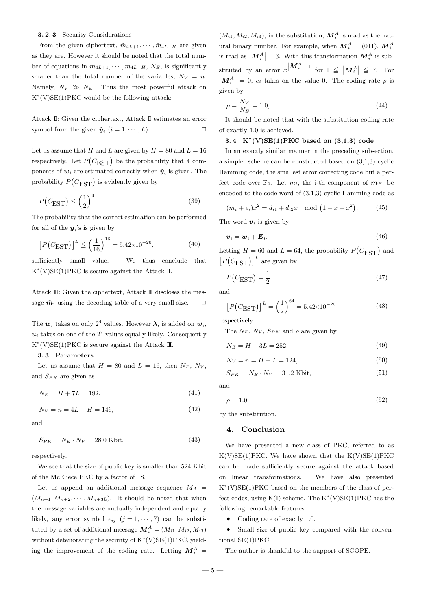### 3. 2. 3 Security Considerations

From the given ciphertext,  $\tilde{m}_{4L+1}, \cdots, \tilde{m}_{4L+H}$  are given as they are. However it should be noted that the total number of equations in  $m_{4L+1}, \cdots, m_{4L+H}, N_E$ , is significantly smaller than the total number of the variables,  $N_V = n$ . Namely,  $N_V \gg N_E$ . Thus the most powerful attack on K ∗ (V)SE(1)PKC would be the following attack:

Attack II: Given the ciphertext, Attack II estimates an error symbol from the given  $\tilde{\mathbf{y}}_i$   $(i = 1, \cdots, L)$ .

Let us assume that H and L are given by  $H = 80$  and  $L = 16$ respectively. Let  $P(C_{\text{EST}})$  be the probability that 4 components of  $w_i$  are estimated correctly when  $\tilde{y}_i$  is given. The probability  $P(C_{\text{EST}})$  is evidently given by

$$
P(C_{\text{EST}}) \le \left(\frac{1}{2}\right)^4. \tag{39}
$$

The probability that the correct estimation can be performed for all of the  $y_i$ 's is given by

$$
\left[ P(C_{\text{EST}}) \right]^L \le \left( \frac{1}{16} \right)^{16} = 5.42 \times 10^{-20},\tag{40}
$$

sufficiently small value. We thus conclude that K ∗ (V)SE(1)PKC is secure against the Attack II.

Attack  $\mathbb{II}$ : Given the ciphertext, Attack  $\mathbb{II}$  discloses the message  $\tilde{m}_i$  using the decoding table of a very small size.  $\Box$ 

The  $w_i$  takes on only  $2^4$  values. However  $\lambda_i$  is added on  $w_i$ ,  $u_i$  takes on one of the  $2^7$  values equally likely. Consequently  $K^*(V)SE(1)PKC$  is secure against the Attack  $\mathbb{II}$ .

### 3. 3 Parameters

Let us assume that  $H = 80$  and  $L = 16$ , then  $N_E$ ,  $N_V$ , and  $S_{PK}$  are given as

$$
N_E = H + 7L = 192,\t(41)
$$

$$
N_V = n = 4L + H = 146,\t(42)
$$

and

$$
S_{PK} = N_E \cdot N_V = 28.0 \text{ Kbit},\tag{43}
$$

respectively.

We see that the size of public key is smaller than 524 Kbit of the McEliece PKC by a factor of 18.

Let us append an additional message sequence  $M_A$  =  $(M_{n+1}, M_{n+2}, \cdots, M_{n+3L})$ . It should be noted that when the message variables are mutually independent and equally likely, any error symbol  $e_{ij}$   $(j = 1, \dots, 7)$  can be substituted by a set of additional meesage  $\mathbf{M}_{i}^{A} = (M_{i1}, M_{i2}, M_{i3})$ without deteriorating the security of K<sup>\*</sup>(V)SE(1)PKC, yielding the improvement of the coding rate. Letting  $M_i^A$  =

 $(M_{i1}, M_{i2}, M_{i3})$ , in the substitution,  $\mathbf{M}_i^A$  is read as the natural binary number. For example, when  $M_i^A = (011)$ ,  $M_i^A$ is read as  $\left| \mathbf{M}_i^A \right| = 3$ . With this transformation  $\mathbf{M}_i^A$  is substituted by an error  $x^{\vert} M_i^A \vert^{-1}$  for  $1 \leq \vert M_i^A \vert$ stituted by an error  $x \vert M_i^A \vert^{-1}$  for  $1 \leq \vert M_i^A \vert \leq 7$ . For  $|\mathbf{M}_i^A|=0, e_i$  takes on the value 0. The coding rate  $\rho$  is given by

$$
\rho = \frac{N_V}{N_E} = 1.0,\tag{44}
$$

It should be noted that with the substitution coding rate of exactly 1.0 is achieved.

# 3.4  $K^*(V)SE(1)PKC$  based on  $(3,1,3)$  code

In an exactly similar manner in the preceding subsection, a simpler scheme can be constructed based on  $(3,1,3)$  cyclic Hamming code, the smallest error correcting code but a perfect code over  $\mathbb{F}_2$ . Let  $m_i$ , the i-th component of  $m_E$ , be encoded to the code word of (3,1,3) cyclic Hamming code as

$$
(m_i + e_i)x^2 = d_{i1} + d_{i2}x \mod (1 + x + x^2).
$$
 (45)

The word  $v_i$  is given by

$$
v_i = w_i + E_i. \tag{46}
$$

Letting  $H = 60$  and  $L = 64$ , the probability  $P(C_{\text{EST}})$  and  $[P(C_{\text{EST}})]^L$  are given by

$$
P(C_{\text{EST}}) = \frac{1}{2} \tag{47}
$$

and

$$
[P(C_{\text{EST}})]^{L} = \left(\frac{1}{2}\right)^{64} = 5.42 \times 10^{-20}
$$
 (48)

respectively.

The  $N_E$ ,  $N_V$ ,  $S_{PK}$  and  $\rho$  are given by

$$
N_E = H + 3L = 252,\t(49)
$$

$$
N_V = n = H + L = 124,\t\t(50)
$$

$$
S_{PK} = N_E \cdot N_V = 31.2 \text{ Kbit},\tag{51}
$$

and

$$
\rho = 1.0 \tag{52}
$$

by the substitution.

## 4. Conclusion

We have presented a new class of PKC, referred to as  $K(V)SE(1)PKC$ . We have shown that the  $K(V)SE(1)PKC$ can be made sufficiently secure against the attack based on linear transformations. We have also presented K ∗ (V)SE(1)PKC based on the members of the class of perfect codes, using  $K(I)$  scheme. The  $K^*(V)SE(1)PKC$  has the following remarkable features:

• Coding rate of exactly 1.0.

• Small size of public key compared with the conventional SE(1)PKC.

The author is thankful to the support of SCOPE.